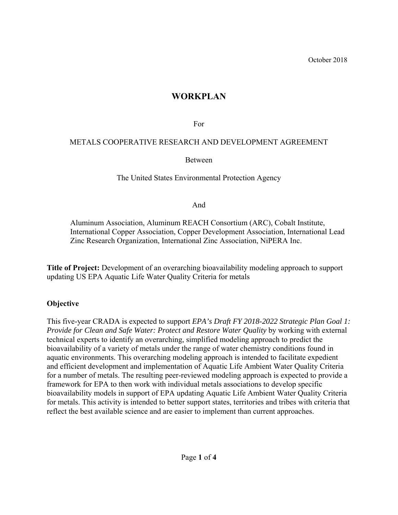# **WORKPLAN**

For

### METALS COOPERATIVE RESEARCH AND DEVELOPMENT AGREEMENT

Between

The United States Environmental Protection Agency

And

Aluminum Association, Aluminum REACH Consortium (ARC), Cobalt Institute, International Copper Association, Copper Development Association, International Lead Zinc Research Organization, International Zinc Association, NiPERA Inc.

**Title of Project:** Development of an overarching bioavailability modeling approach to support updating US EPA Aquatic Life Water Quality Criteria for metals

## **Objective**

This five-year CRADA is expected to support *EPA's Draft FY 2018-2022 Strategic Plan Goal 1: Provide for Clean and Safe Water: Protect and Restore Water Quality* by working with external technical experts to identify an overarching, simplified modeling approach to predict the bioavailability of a variety of metals under the range of water chemistry conditions found in aquatic environments. This overarching modeling approach is intended to facilitate expedient and efficient development and implementation of Aquatic Life Ambient Water Quality Criteria for a number of metals. The resulting peer-reviewed modeling approach is expected to provide a framework for EPA to then work with individual metals associations to develop specific bioavailability models in support of EPA updating Aquatic Life Ambient Water Quality Criteria for metals. This activity is intended to better support states, territories and tribes with criteria that reflect the best available science and are easier to implement than current approaches.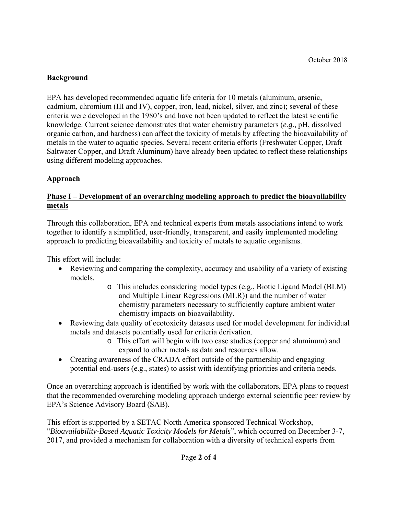#### **Background**

EPA has developed recommended aquatic life criteria for 10 metals (aluminum, arsenic, cadmium, chromium (III and IV), copper, iron, lead, nickel, silver, and zinc); several of these criteria were developed in the 1980's and have not been updated to reflect the latest scientific knowledge. Current science demonstrates that water chemistry parameters (*e.g*., pH, dissolved organic carbon, and hardness) can affect the toxicity of metals by affecting the bioavailability of metals in the water to aquatic species. Several recent criteria efforts (Freshwater Copper, Draft Saltwater Copper, and Draft Aluminum) have already been updated to reflect these relationships using different modeling approaches.

### **Approach**

#### **Phase I – Development of an overarching modeling approach to predict the bioavailability metals**

Through this collaboration, EPA and technical experts from metals associations intend to work together to identify a simplified, user-friendly, transparent, and easily implemented modeling approach to predicting bioavailability and toxicity of metals to aquatic organisms.

This effort will include:

- Reviewing and comparing the complexity, accuracy and usability of a variety of existing models.
	- o This includes considering model types (e.g., Biotic Ligand Model (BLM) and Multiple Linear Regressions (MLR)) and the number of water chemistry parameters necessary to sufficiently capture ambient water chemistry impacts on bioavailability.
- Reviewing data quality of ecotoxicity datasets used for model development for individual metals and datasets potentially used for criteria derivation.
	- o This effort will begin with two case studies (copper and aluminum) and expand to other metals as data and resources allow.
- Creating awareness of the CRADA effort outside of the partnership and engaging potential end-users (e.g., states) to assist with identifying priorities and criteria needs.

Once an overarching approach is identified by work with the collaborators, EPA plans to request that the recommended overarching modeling approach undergo external scientific peer review by EPA's Science Advisory Board (SAB).

This effort is supported by a SETAC North America sponsored Technical Workshop, "*Bioavailability-Based Aquatic Toxicity Models for Metals*", which occurred on December 3-7, 2017, and provided a mechanism for collaboration with a diversity of technical experts from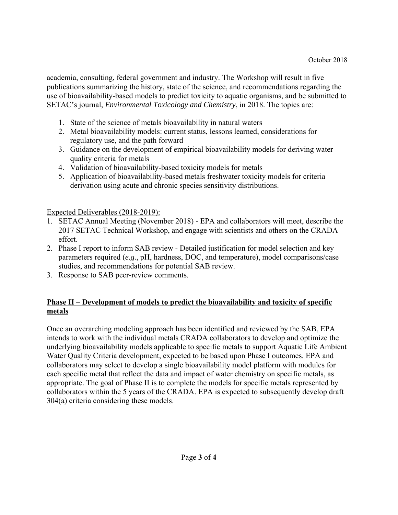academia, consulting, federal government and industry. The Workshop will result in five publications summarizing the history, state of the science, and recommendations regarding the use of bioavailability-based models to predict toxicity to aquatic organisms, and be submitted to SETAC's journal, *Environmental Toxicology and Chemistry*, in 2018. The topics are:

- 1. State of the science of metals bioavailability in natural waters
- 2. Metal bioavailability models: current status, lessons learned, considerations for regulatory use, and the path forward
- 3. Guidance on the development of empirical bioavailability models for deriving water quality criteria for metals
- 4. Validation of bioavailability-based toxicity models for metals
- 5. Application of bioavailability-based metals freshwater toxicity models for criteria derivation using acute and chronic species sensitivity distributions.

Expected Deliverables (2018-2019):

- 1. SETAC Annual Meeting (November 2018) EPA and collaborators will meet, describe the 2017 SETAC Technical Workshop, and engage with scientists and others on the CRADA effort.
- 2. Phase I report to inform SAB review Detailed justification for model selection and key parameters required (*e.g.*, pH, hardness, DOC, and temperature), model comparisons/case studies, and recommendations for potential SAB review.
- 3. Response to SAB peer-review comments.

### **Phase II – Development of models to predict the bioavailability and toxicity of specific metals**

Once an overarching modeling approach has been identified and reviewed by the SAB, EPA intends to work with the individual metals CRADA collaborators to develop and optimize the underlying bioavailability models applicable to specific metals to support Aquatic Life Ambient Water Quality Criteria development, expected to be based upon Phase I outcomes. EPA and collaborators may select to develop a single bioavailability model platform with modules for each specific metal that reflect the data and impact of water chemistry on specific metals, as appropriate. The goal of Phase II is to complete the models for specific metals represented by collaborators within the 5 years of the CRADA. EPA is expected to subsequently develop draft 304(a) criteria considering these models.